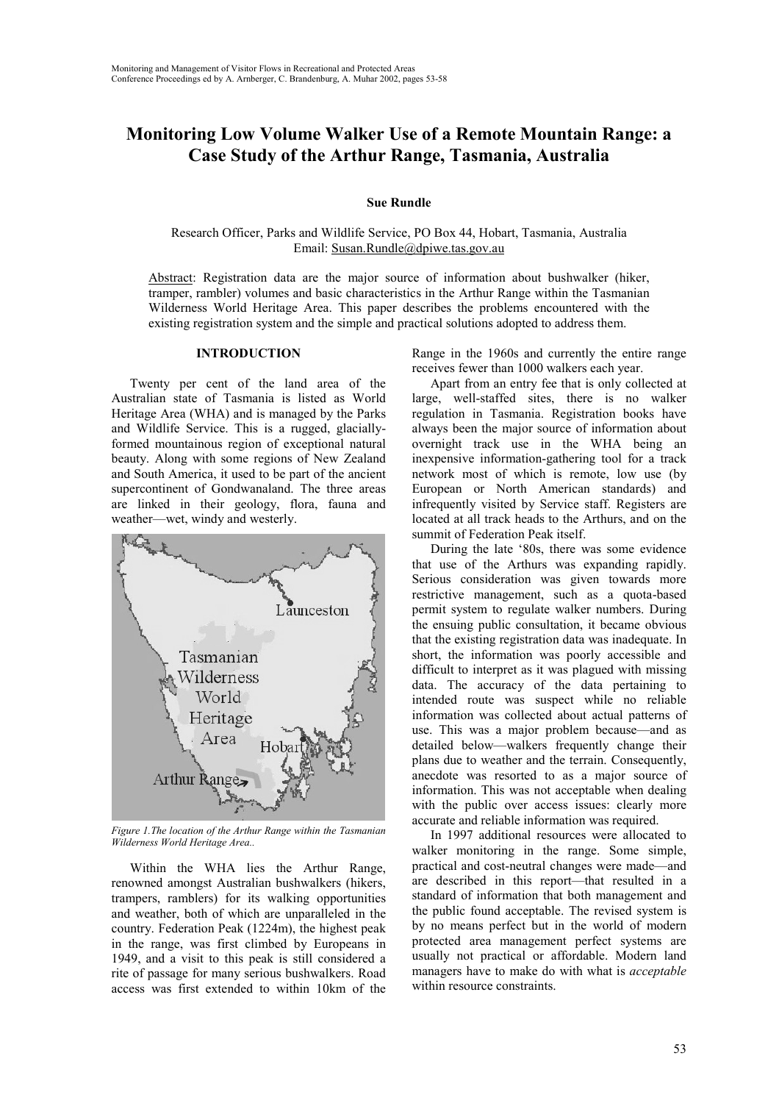# **Monitoring Low Volume Walker Use of a Remote Mountain Range: a Case Study of the Arthur Range, Tasmania, Australia**

**Sue Rundle**

#### Research Officer, Parks and Wildlife Service, PO Box 44, Hobart, Tasmania, Australia Email: Susan.Rundle@dpiwe.tas.gov.au

Abstract: Registration data are the major source of information about bushwalker (hiker, tramper, rambler) volumes and basic characteristics in the Arthur Range within the Tasmanian Wilderness World Heritage Area. This paper describes the problems encountered with the existing registration system and the simple and practical solutions adopted to address them.

#### **INTRODUCTION**

Twenty per cent of the land area of the Australian state of Tasmania is listed as World Heritage Area (WHA) and is managed by the Parks and Wildlife Service. This is a rugged, glaciallyformed mountainous region of exceptional natural beauty. Along with some regions of New Zealand and South America, it used to be part of the ancient supercontinent of Gondwanaland. The three areas are linked in their geology, flora, fauna and weather—wet, windy and westerly.



*Figure 1.The location of the Arthur Range within the Tasmanian Wilderness World Heritage Area..*

Within the WHA lies the Arthur Range, renowned amongst Australian bushwalkers (hikers, trampers, ramblers) for its walking opportunities and weather, both of which are unparalleled in the country. Federation Peak (1224m), the highest peak in the range, was first climbed by Europeans in 1949, and a visit to this peak is still considered a rite of passage for many serious bushwalkers. Road access was first extended to within 10km of the Range in the 1960s and currently the entire range receives fewer than 1000 walkers each year.

Apart from an entry fee that is only collected at large, well-staffed sites, there is no walker regulation in Tasmania. Registration books have always been the major source of information about overnight track use in the WHA being an inexpensive information-gathering tool for a track network most of which is remote, low use (by European or North American standards) and infrequently visited by Service staff. Registers are located at all track heads to the Arthurs, and on the summit of Federation Peak itself.

During the late '80s, there was some evidence that use of the Arthurs was expanding rapidly. Serious consideration was given towards more restrictive management, such as a quota-based permit system to regulate walker numbers. During the ensuing public consultation, it became obvious that the existing registration data was inadequate. In short, the information was poorly accessible and difficult to interpret as it was plagued with missing data. The accuracy of the data pertaining to intended route was suspect while no reliable information was collected about actual patterns of use. This was a major problem because—and as detailed below—walkers frequently change their plans due to weather and the terrain. Consequently, anecdote was resorted to as a major source of information. This was not acceptable when dealing with the public over access issues: clearly more accurate and reliable information was required.

In 1997 additional resources were allocated to walker monitoring in the range. Some simple, practical and cost-neutral changes were made—and are described in this report—that resulted in a standard of information that both management and the public found acceptable. The revised system is by no means perfect but in the world of modern protected area management perfect systems are usually not practical or affordable. Modern land managers have to make do with what is *acceptable* within resource constraints.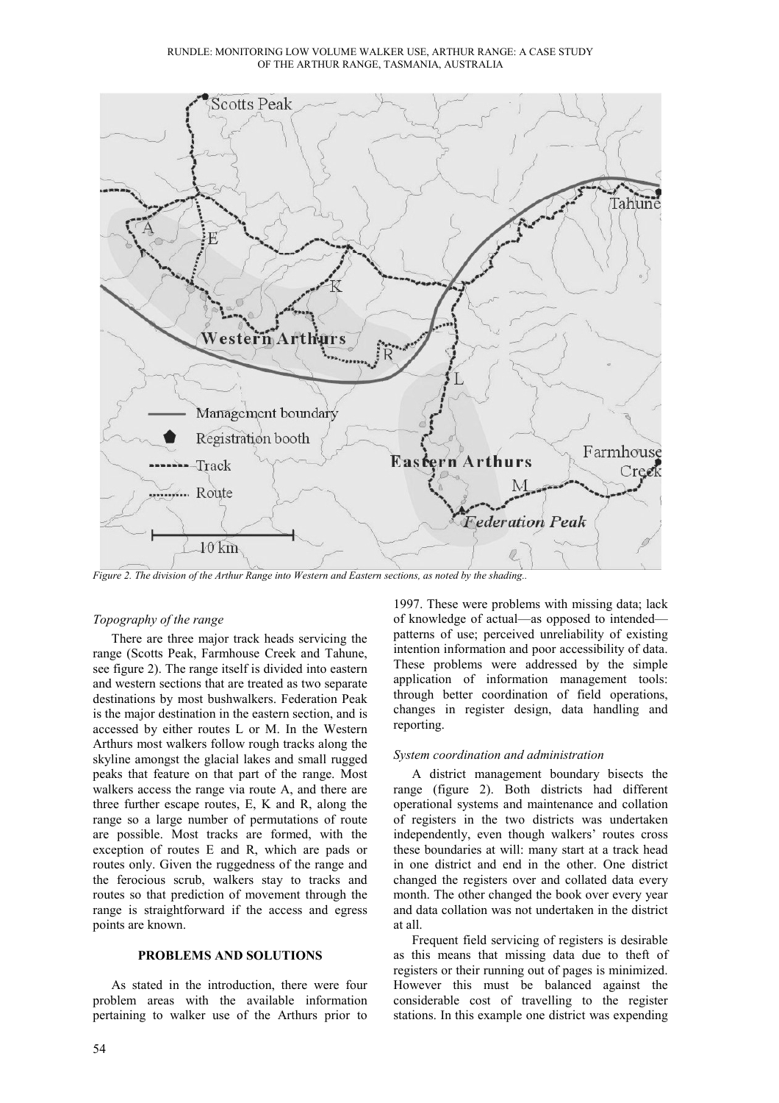

*Figure 2. The division of the Arthur Range into Western and Eastern sections, as noted by the shading..*

## *Topography of the range*

There are three major track heads servicing the range (Scotts Peak, Farmhouse Creek and Tahune, see figure 2). The range itself is divided into eastern and western sections that are treated as two separate destinations by most bushwalkers. Federation Peak is the major destination in the eastern section, and is accessed by either routes L or M. In the Western Arthurs most walkers follow rough tracks along the skyline amongst the glacial lakes and small rugged peaks that feature on that part of the range. Most walkers access the range via route A, and there are three further escape routes, E, K and R, along the range so a large number of permutations of route are possible. Most tracks are formed, with the exception of routes E and R, which are pads or routes only. Given the ruggedness of the range and the ferocious scrub, walkers stay to tracks and routes so that prediction of movement through the range is straightforward if the access and egress points are known.

#### **PROBLEMS AND SOLUTIONS**

As stated in the introduction, there were four problem areas with the available information pertaining to walker use of the Arthurs prior to

1997. These were problems with missing data; lack of knowledge of actual—as opposed to intended patterns of use; perceived unreliability of existing intention information and poor accessibility of data. These problems were addressed by the simple application of information management tools: through better coordination of field operations, changes in register design, data handling and reporting.

#### *System coordination and administration*

A district management boundary bisects the range (figure 2). Both districts had different operational systems and maintenance and collation of registers in the two districts was undertaken independently, even though walkers' routes cross these boundaries at will: many start at a track head in one district and end in the other. One district changed the registers over and collated data every month. The other changed the book over every year and data collation was not undertaken in the district at all.

Frequent field servicing of registers is desirable as this means that missing data due to theft of registers or their running out of pages is minimized. However this must be balanced against the considerable cost of travelling to the register stations. In this example one district was expending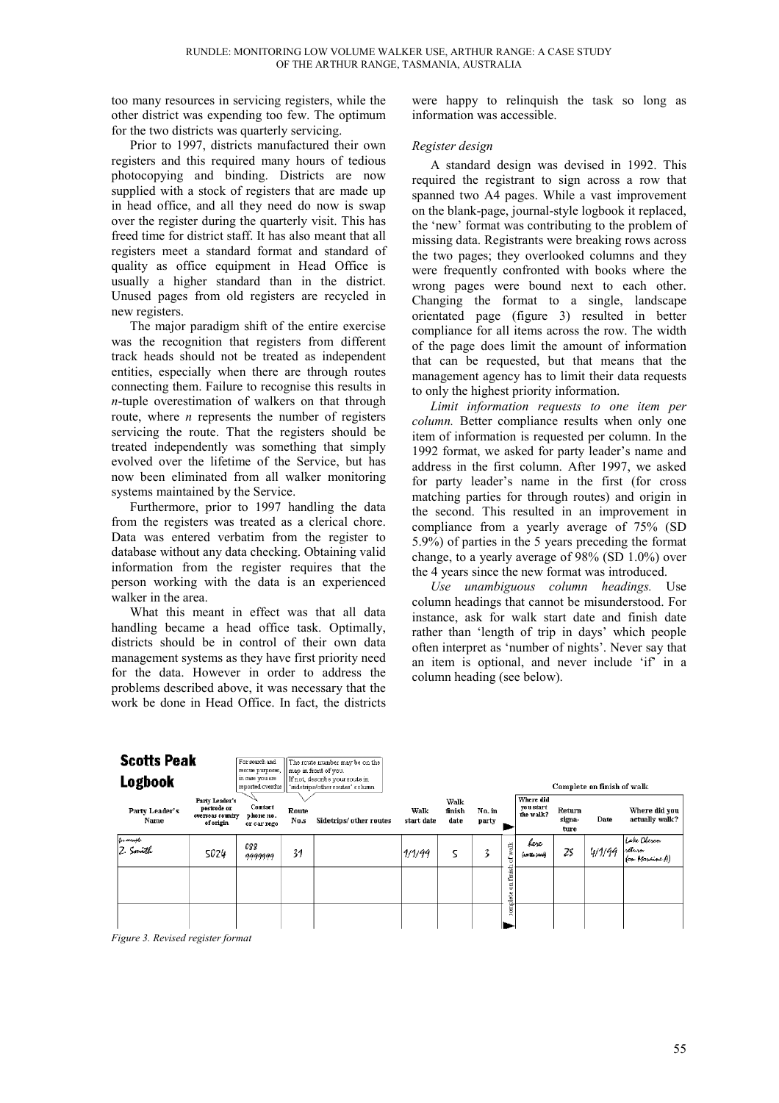too many resources in servicing registers, while the other district was expending too few. The optimum for the two districts was quarterly servicing.

Prior to 1997, districts manufactured their own registers and this required many hours of tedious photocopying and binding. Districts are now supplied with a stock of registers that are made up in head office, and all they need do now is swap over the register during the quarterly visit. This has freed time for district staff. It has also meant that all registers meet a standard format and standard of quality as office equipment in Head Office is usually a higher standard than in the district. Unused pages from old registers are recycled in new registers.

The major paradigm shift of the entire exercise was the recognition that registers from different track heads should not be treated as independent entities, especially when there are through routes connecting them. Failure to recognise this results in *n*-tuple overestimation of walkers on that through route, where *n* represents the number of registers servicing the route. That the registers should be treated independently was something that simply evolved over the lifetime of the Service, but has now been eliminated from all walker monitoring systems maintained by the Service.

Furthermore, prior to 1997 handling the data from the registers was treated as a clerical chore. Data was entered verbatim from the register to database without any data checking. Obtaining valid information from the register requires that the person working with the data is an experienced walker in the area.

What this meant in effect was that all data handling became a head office task. Optimally, districts should be in control of their own data management systems as they have first priority need for the data. However in order to address the problems described above, it was necessary that the work be done in Head Office. In fact, the districts were happy to relinquish the task so long as information was accessible.

## *Register design*

A standard design was devised in 1992. This required the registrant to sign across a row that spanned two A4 pages. While a vast improvement on the blank-page, journal-style logbook it replaced, the 'new' format was contributing to the problem of missing data. Registrants were breaking rows across the two pages; they overlooked columns and they were frequently confronted with books where the wrong pages were bound next to each other. Changing the format to a single, landscape orientated page (figure 3) resulted in better compliance for all items across the row. The width of the page does limit the amount of information that can be requested, but that means that the management agency has to limit their data requests to only the highest priority information.

*Limit information requests to one item per column.* Better compliance results when only one item of information is requested per column. In the 1992 format, we asked for party leader's name and address in the first column. After 1997, we asked for party leader's name in the first (for cross matching parties for through routes) and origin in the second. This resulted in an improvement in compliance from a yearly average of 75% (SD 5.9%) of parties in the 5 years preceding the format change, to a yearly average of 98% (SD 1.0%) over the 4 years since the new format was introduced.

*Use unambiguous column headings.* Use column headings that cannot be misunderstood. For instance, ask for walk start date and finish date rather than 'length of trip in days' which people often interpret as 'number of nights'. Never say that an item is optional, and never include 'if' in a column heading (see below).

| <b>Scotts Peak</b><br>Logbook |                                                                | For search and<br>rescue purposes,<br>in case you are<br>reported overdue |               | The route number may be on the<br>map in front of you.<br>If not, describe your route in<br>'sidetrips/other routes' column |                    |                        |               |                     | Complete on finish of walk          |                          |       |                                         |
|-------------------------------|----------------------------------------------------------------|---------------------------------------------------------------------------|---------------|-----------------------------------------------------------------------------------------------------------------------------|--------------------|------------------------|---------------|---------------------|-------------------------------------|--------------------------|-------|-----------------------------------------|
| Party Leader's<br>Name        | Party Leader's<br>postrode or<br>overseas country<br>of origin | Contact<br>phone no.<br>or car rego                                       | Route<br>No.s | Sidetrips/other routes                                                                                                      | Walk<br>start date | Walk<br>finish<br>date | No.m<br>party |                     | Where did<br>you start<br>the walk? | Return<br>signa-<br>ture | Date  | Where did you<br>actually walk?         |
| Conservato<br>2. Smith        | 5024                                                           | 099<br>9999999                                                            | 31            |                                                                                                                             | 1/1/99             | s                      | 3             | of walk             | bere<br>(with food)                 | zs                       | 41/99 | Lake Oleran<br>return<br>(an Marcine A) |
|                               |                                                                |                                                                           |               |                                                                                                                             |                    |                        |               | ${\rm{final}}$<br>g |                                     |                          |       |                                         |
|                               |                                                                |                                                                           |               |                                                                                                                             |                    |                        |               | complete            |                                     |                          |       |                                         |

*Figure 3. Revised register format*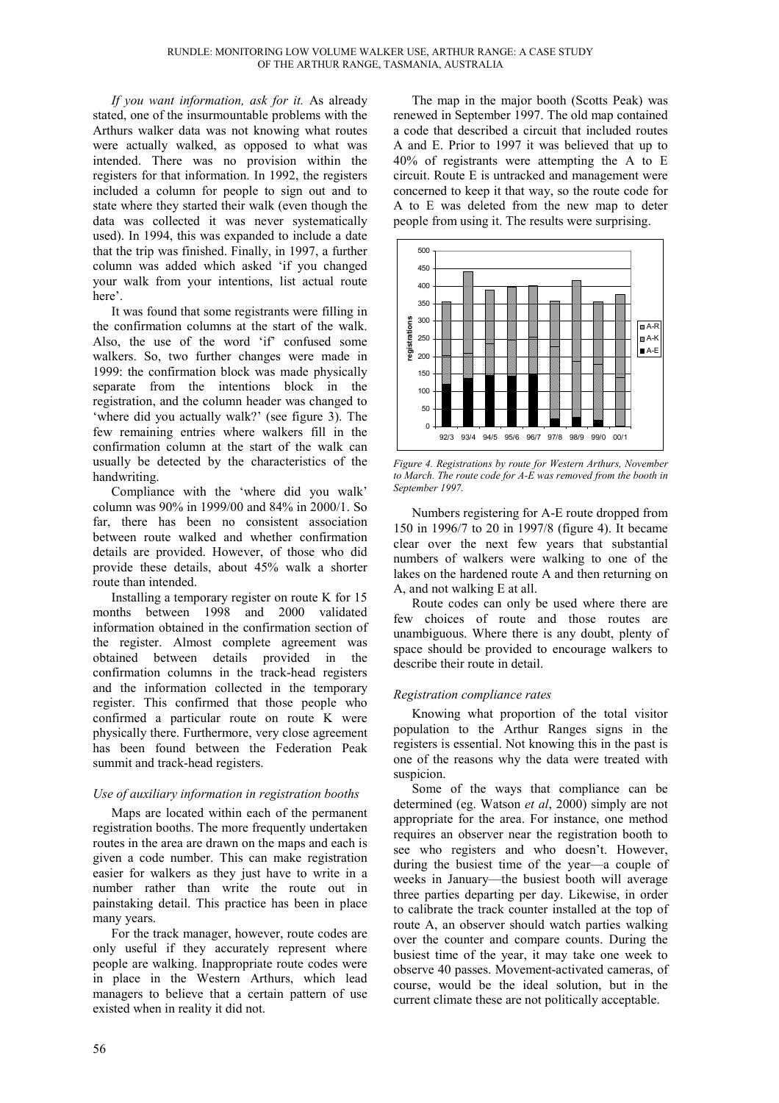*If you want information, ask for it.* As already stated, one of the insurmountable problems with the Arthurs walker data was not knowing what routes were actually walked, as opposed to what was intended. There was no provision within the registers for that information. In 1992, the registers included a column for people to sign out and to state where they started their walk (even though the data was collected it was never systematically used). In 1994, this was expanded to include a date that the trip was finished. Finally, in 1997, a further column was added which asked 'if you changed your walk from your intentions, list actual route here'.

It was found that some registrants were filling in the confirmation columns at the start of the walk. Also, the use of the word 'if' confused some walkers. So, two further changes were made in 1999: the confirmation block was made physically separate from the intentions block in the registration, and the column header was changed to 'where did you actually walk?' (see figure 3). The few remaining entries where walkers fill in the confirmation column at the start of the walk can usually be detected by the characteristics of the handwriting.

Compliance with the 'where did you walk' column was 90% in 1999/00 and 84% in 2000/1. So far, there has been no consistent association between route walked and whether confirmation details are provided. However, of those who did provide these details, about 45% walk a shorter route than intended.

Installing a temporary register on route K for 15 months between 1998 and 2000 validated information obtained in the confirmation section of the register. Almost complete agreement was obtained between details provided in the confirmation columns in the track-head registers and the information collected in the temporary register. This confirmed that those people who confirmed a particular route on route K were physically there. Furthermore, very close agreement has been found between the Federation Peak summit and track-head registers.

## *Use of auxiliary information in registration booths*

Maps are located within each of the permanent registration booths. The more frequently undertaken routes in the area are drawn on the maps and each is given a code number. This can make registration easier for walkers as they just have to write in a number rather than write the route out in painstaking detail. This practice has been in place many years.

For the track manager, however, route codes are only useful if they accurately represent where people are walking. Inappropriate route codes were in place in the Western Arthurs, which lead managers to believe that a certain pattern of use existed when in reality it did not.

The map in the major booth (Scotts Peak) was renewed in September 1997. The old map contained a code that described a circuit that included routes A and E. Prior to 1997 it was believed that up to 40% of registrants were attempting the A to E circuit. Route E is untracked and management were concerned to keep it that way, so the route code for A to E was deleted from the new map to deter people from using it. The results were surprising.



*Figure 4. Registrations by route for Western Arthurs, November to March. The route code for A-E was removed from the booth in September 1997.*

Numbers registering for A-E route dropped from 150 in 1996/7 to 20 in 1997/8 (figure 4). It became clear over the next few years that substantial numbers of walkers were walking to one of the lakes on the hardened route A and then returning on A, and not walking E at all.

Route codes can only be used where there are few choices of route and those routes are unambiguous. Where there is any doubt, plenty of space should be provided to encourage walkers to describe their route in detail.

# *Registration compliance rates*

Knowing what proportion of the total visitor population to the Arthur Ranges signs in the registers is essential. Not knowing this in the past is one of the reasons why the data were treated with suspicion.

Some of the ways that compliance can be determined (eg. Watson *et al*, 2000) simply are not appropriate for the area. For instance, one method requires an observer near the registration booth to see who registers and who doesn't. However, during the busiest time of the year—a couple of weeks in January—the busiest booth will average three parties departing per day. Likewise, in order to calibrate the track counter installed at the top of route A, an observer should watch parties walking over the counter and compare counts. During the busiest time of the year, it may take one week to observe 40 passes. Movement-activated cameras, of course, would be the ideal solution, but in the current climate these are not politically acceptable.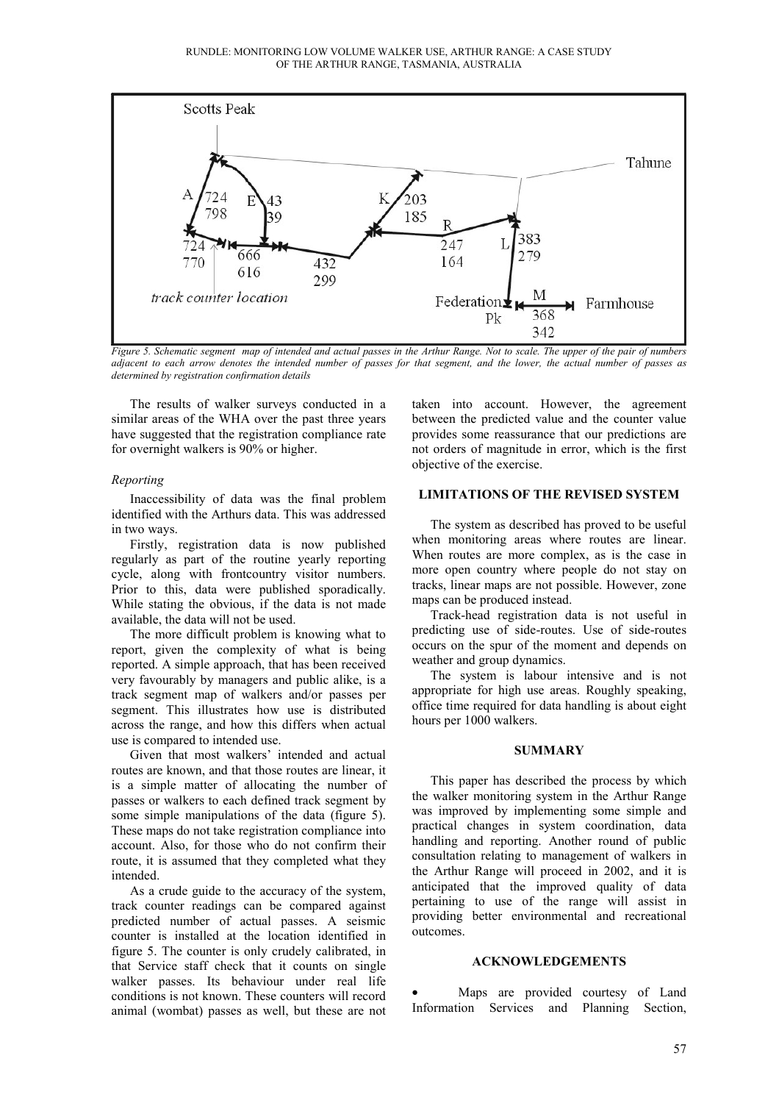

*Figure 5. Schematic segment map of intended and actual passes in the Arthur Range. Not to scale. The upper of the pair of numbers adjacent to each arrow denotes the intended number of passes for that segment, and the lower, the actual number of passes as determined by registration confirmation details*

The results of walker surveys conducted in a similar areas of the WHA over the past three years have suggested that the registration compliance rate for overnight walkers is 90% or higher.

## *Reporting*

Inaccessibility of data was the final problem identified with the Arthurs data. This was addressed in two ways.

Firstly, registration data is now published regularly as part of the routine yearly reporting cycle, along with frontcountry visitor numbers. Prior to this, data were published sporadically. While stating the obvious, if the data is not made available, the data will not be used.

The more difficult problem is knowing what to report, given the complexity of what is being reported. A simple approach, that has been received very favourably by managers and public alike, is a track segment map of walkers and/or passes per segment. This illustrates how use is distributed across the range, and how this differs when actual use is compared to intended use.

Given that most walkers' intended and actual routes are known, and that those routes are linear, it is a simple matter of allocating the number of passes or walkers to each defined track segment by some simple manipulations of the data (figure 5). These maps do not take registration compliance into account. Also, for those who do not confirm their route, it is assumed that they completed what they intended.

As a crude guide to the accuracy of the system, track counter readings can be compared against predicted number of actual passes. A seismic counter is installed at the location identified in figure 5. The counter is only crudely calibrated, in that Service staff check that it counts on single walker passes. Its behaviour under real life conditions is not known. These counters will record animal (wombat) passes as well, but these are not taken into account. However, the agreement between the predicted value and the counter value provides some reassurance that our predictions are not orders of magnitude in error, which is the first objective of the exercise.

#### **LIMITATIONS OF THE REVISED SYSTEM**

The system as described has proved to be useful when monitoring areas where routes are linear. When routes are more complex, as is the case in more open country where people do not stay on tracks, linear maps are not possible. However, zone maps can be produced instead.

Track-head registration data is not useful in predicting use of side-routes. Use of side-routes occurs on the spur of the moment and depends on weather and group dynamics.

The system is labour intensive and is not appropriate for high use areas. Roughly speaking, office time required for data handling is about eight hours per 1000 walkers.

#### **SUMMARY**

This paper has described the process by which the walker monitoring system in the Arthur Range was improved by implementing some simple and practical changes in system coordination, data handling and reporting. Another round of public consultation relating to management of walkers in the Arthur Range will proceed in 2002, and it is anticipated that the improved quality of data pertaining to use of the range will assist in providing better environmental and recreational outcomes.

#### **ACKNOWLEDGEMENTS**

Maps are provided courtesy of Land Information Services and Planning Section,